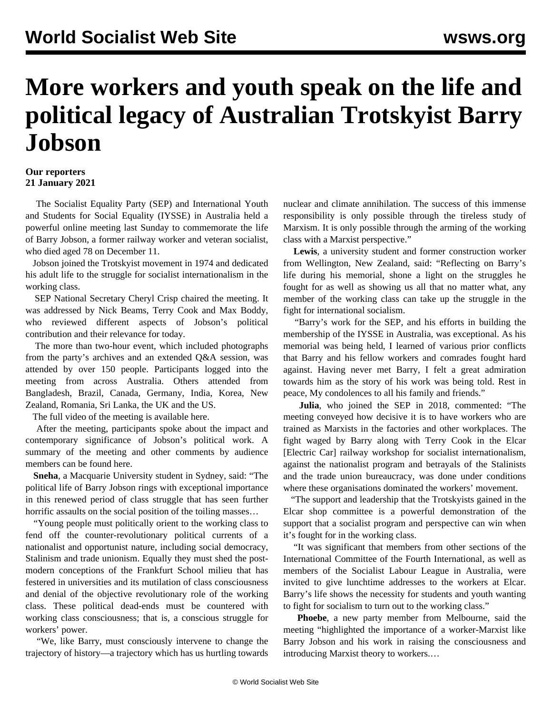## **More workers and youth speak on the life and political legacy of Australian Trotskyist Barry Jobson**

## **Our reporters 21 January 2021**

 The Socialist Equality Party (SEP) and International Youth and Students for Social Equality (IYSSE) in Australia held a powerful online meeting last Sunday to commemorate the life of Barry Jobson, a former railway worker and veteran socialist, who died aged 78 on December 11.

 Jobson joined the Trotskyist movement in 1974 and dedicated his adult life to the struggle for socialist internationalism in the working class.

 SEP National Secretary Cheryl Crisp chaired the meeting. It was addressed by Nick Beams, Terry Cook and Max Boddy, who reviewed different aspects of Jobson's political contribution and their relevance for today.

 The more than two-hour event, which included photographs from the party's archives and an extended Q&A session, was attended by over 150 people. Participants logged into the meeting from across Australia. Others attended from Bangladesh, Brazil, Canada, Germany, India, Korea, New Zealand, Romania, Sri Lanka, the UK and the US.

The full video of the meeting is available [here.](https://www.youtube.com/watch?v=0UhM3kz_Gc0)

 After the meeting, participants spoke about the impact and contemporary significance of Jobson's political work. A summary of the meeting and other comments by audience members can be found [here](/en/articles/2021/01/20/bjin-j20.html).

 **Sneha**, a Macquarie University student in Sydney, said: "The political life of Barry Jobson rings with exceptional importance in this renewed period of class struggle that has seen further horrific assaults on the social position of the toiling masses...

 "Young people must politically orient to the working class to fend off the counter-revolutionary political currents of a nationalist and opportunist nature, including social democracy, Stalinism and trade unionism. Equally they must shed the postmodern conceptions of the Frankfurt School milieu that has festered in universities and its mutilation of class consciousness and denial of the objective revolutionary role of the working class. These political dead-ends must be countered with working class consciousness; that is, a conscious struggle for workers' power.

 "We, like Barry, must consciously intervene to change the trajectory of history—a trajectory which has us hurtling towards

nuclear and climate annihilation. The success of this immense responsibility is only possible through the tireless study of Marxism. It is only possible through the arming of the working class with a Marxist perspective."

 **Lewis**, a university student and former construction worker from Wellington, New Zealand, said: "Reflecting on Barry's life during his memorial, shone a light on the struggles he fought for as well as showing us all that no matter what, any member of the working class can take up the struggle in the fight for international socialism.

 "Barry's work for the SEP, and his efforts in building the membership of the IYSSE in Australia, was exceptional. As his memorial was being held, I learned of various prior conflicts that Barry and his fellow workers and comrades fought hard against. Having never met Barry, I felt a great admiration towards him as the story of his work was being told. Rest in peace, My condolences to all his family and friends."

 **Julia**, who joined the SEP in 2018, commented: "The meeting conveyed how decisive it is to have workers who are trained as Marxists in the factories and other workplaces. The fight waged by Barry along with Terry Cook in the Elcar [Electric Car] railway workshop for socialist internationalism, against the nationalist program and betrayals of the Stalinists and the trade union bureaucracy, was done under conditions where these organisations dominated the workers' movement.

 "The support and leadership that the Trotskyists gained in the Elcar shop committee is a powerful demonstration of the support that a socialist program and perspective can win when it's fought for in the working class.

 "It was significant that members from other sections of the International Committee of the Fourth International, as well as members of the Socialist Labour League in Australia, were invited to give lunchtime addresses to the workers at Elcar. Barry's life shows the necessity for students and youth wanting to fight for socialism to turn out to the working class."

 **Phoebe**, a new party member from Melbourne, said the meeting "highlighted the importance of a worker-Marxist like Barry Jobson and his work in raising the consciousness and introducing Marxist theory to workers.…